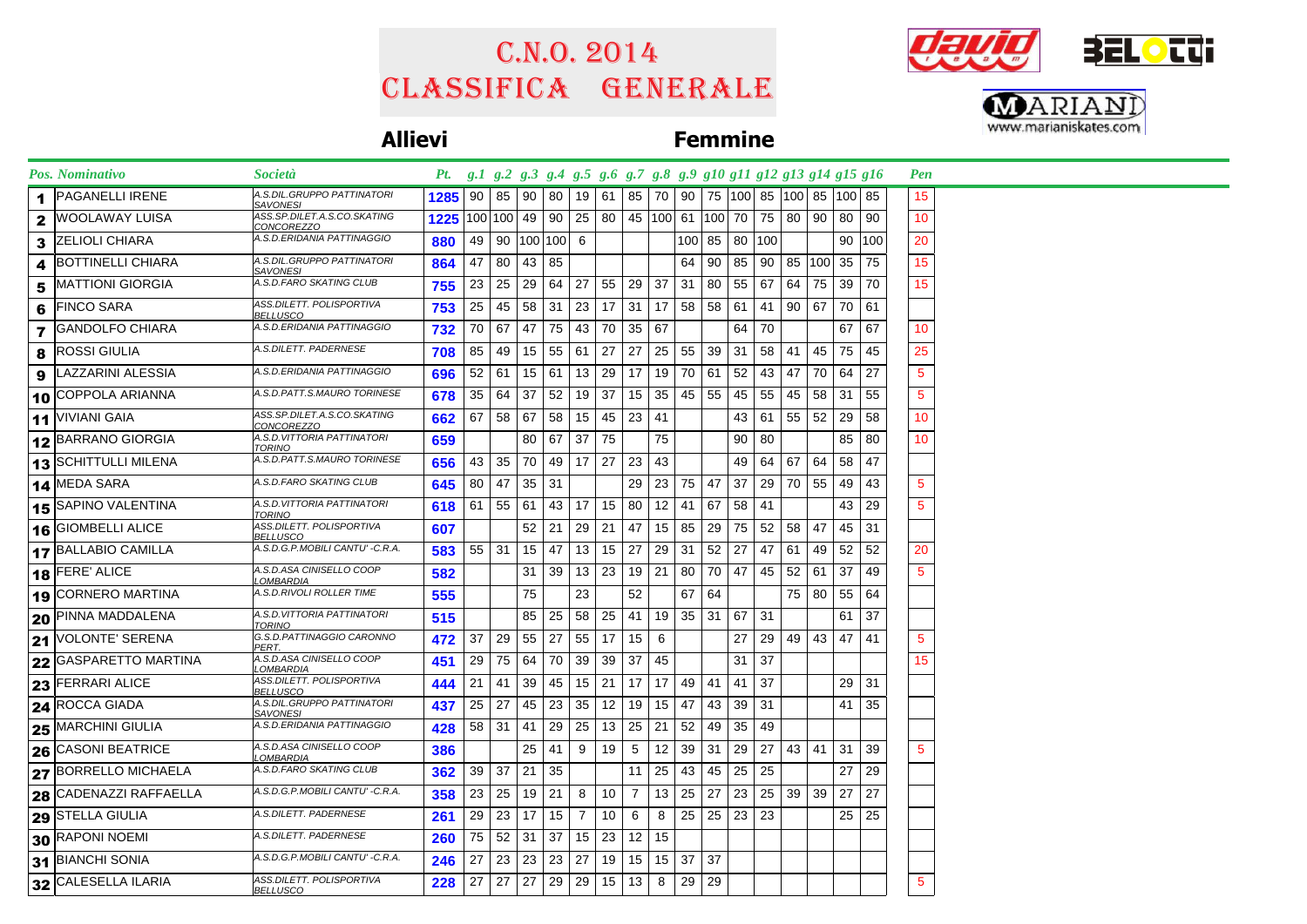## Classifica generale C.n.o. 2014





## **Allievi Femmine**

| <b>Pos. Nominativo</b>        | <b>Società</b>                                | Pt. g.1 g.2 g.3 g.4 g.5 g.6 g.7 g.8 g.9 g10 g11 g12 g13 g14 g15 g16 |                 |              |                         |    |                 |       |                |               |              |               |          |       |                                                    |                 |              |     | Pen             |  |
|-------------------------------|-----------------------------------------------|---------------------------------------------------------------------|-----------------|--------------|-------------------------|----|-----------------|-------|----------------|---------------|--------------|---------------|----------|-------|----------------------------------------------------|-----------------|--------------|-----|-----------------|--|
| PAGANELLI IRENE               | A.S.DIL.GRUPPO PATTINATORI<br>SAVONESI        | 1285                                                                |                 |              | 90   85   90            | 80 | 19              | -61 I |                |               |              |               |          |       | 85   70   90   75   100   85   100   85   100   85 |                 |              |     | 15 <sub>1</sub> |  |
| WOOLAWAY LUISA                | ASS.SP.DILET.A.S.CO.SKATING<br>CONCOREZZO     | 1225                                                                |                 |              | 100 100 49 90 25        |    |                 |       |                |               |              |               |          |       | 80   45   100   61   100   70   75   80   90   80  |                 |              | 90  | 10              |  |
| IZELIOLI CHIARA<br>3          | A.S.D.ERIDANIA PATTINAGGIO                    | 880                                                                 |                 |              | 49   90   100   100   6 |    |                 |       |                |               |              | 100 85 80 100 |          |       |                                                    |                 | 90           | 100 | 20              |  |
| <b>BOTTINELLI CHIARA</b><br>4 | A.S.DIL.GRUPPO PATTINATORI<br><b>SAVONESI</b> | 864                                                                 |                 | 47 80        | 43   85                 |    |                 |       |                |               | 64           | 90 l          | 85       |       | 90   85   100   35                                 |                 |              | 75  | 15              |  |
| <b>MATTIONI GIORGIA</b><br>5  | A.S.D.FARO SKATING CLUB                       | 755                                                                 | $23 \mid$       | 25           | 29                      | 64 | 27              | 55    | 29             | 37            | -31          | 80            | 55       | 67    | 64                                                 | 75 39           |              | 70  | 15              |  |
| <b>FINCO SARA</b><br>6        | ASS.DILETT. POLISPORTIVA<br>BELLUSCO          | 753                                                                 | 25 <sup>2</sup> | 45           | 58                      | 31 | 23              | 17    |                | $31 \mid 17$  | 58           |               | 58   61  | 41    |                                                    |                 | 90   67   70 | 61  |                 |  |
| <b>GANDOLFO CHIARA</b><br>7   | A.S.D.ERIDANIA PATTINAGGIO                    | 732                                                                 |                 | 70 67        | 47                      | 75 | 43              | 70    |                | 35 67         |              |               | 64       | 70    |                                                    |                 | 67           | 67  | 10              |  |
| <b>ROSSI GIULIA</b><br>8      | A.S.DILETT. PADERNESE                         | 708                                                                 |                 | 85 49        | 15                      | 55 | 61              | 27    | 27             | 25            | 55           | 39            | 31       | 58    | 41                                                 | 45 75           |              | 45  | 25              |  |
| LAZZARINI ALESSIA             | A.S.D.ERIDANIA PATTINAGGIO                    | 696                                                                 |                 | 52   61      | 15                      | 61 | 13              | 29    | 17             | 19            | 70           | 61            | 52       | 43    | 47                                                 | 70 64           |              | 27  | $5\phantom{.0}$ |  |
| COPPOLA ARIANNA<br>10         | A.S.D.PATT.S.MAURO TORINESE                   | 678                                                                 |                 | 35 64        | 37                      | 52 | 19              | 37    | 15             | 35            |              | 45 55         | 45       | 55    | 45                                                 | 58 31           |              | 55  | $5\phantom{.0}$ |  |
| $11$ VIVIANI GAIA             | ASS.SP.DILET.A.S.CO.SKATING<br>CONCOREZZO     | 662                                                                 |                 | 67 58        | 67                      | 58 | 15 <sup>1</sup> | 45    | $23 \mid 41$   |               |              |               |          |       | 43 61 55 52 29                                     |                 |              | 58  | 10              |  |
| 12 BARRANO GIORGIA            | A.S.D. VITTORIA PATTINATORI<br>TORINO         | 659                                                                 |                 |              | 80                      |    | 67 37           | 75    |                | 75            |              |               | 90       | 80    |                                                    |                 | 85           | 80  | 10              |  |
| 13 SCHITTULLI MILENA          | A.S.D.PATT.S.MAURO TORINESE                   | 656                                                                 |                 | $43 \mid 35$ | 70                      | 49 | 17 <sup>1</sup> | 27    | 23             | 43            |              |               | 49       |       | 64 67 64 58                                        |                 |              | 47  |                 |  |
| 14 MEDA SARA                  | A.S.D.FARO SKATING CLUB                       | 645                                                                 |                 | 80   47      | $35 \mid 31$            |    |                 |       | 29             |               |              | 23 75 47      | 37       |       | 29   70   55   49                                  |                 |              | 43  | $5\phantom{.0}$ |  |
| 15 SAPINO VALENTINA           | A.S.D.VITTORIA PATTINATORI<br>TORINO          | 618                                                                 |                 | $61$ 55      | 61                      | 43 | 17 <sup>1</sup> | 15    | 80             |               | $12 \mid 41$ | 67            |          | 58 41 |                                                    |                 | 43           | 29  | $5^{\circ}$     |  |
| 16 GIOMBELLI ALICE            | ASS.DILETT. POLISPORTIVA<br><i>BELLUSCO</i>   | 607                                                                 |                 |              | 52                      | 21 | 29              | 21    | 47             |               | 15 85        | 29            | 75       |       | 52   58                                            | 47              | 45           | 31  |                 |  |
| 17 BALLABIO CAMILLA           | A.S.D.G.P.MOBILI CANTU' -C.R.A.               | 583                                                                 |                 | $55 \mid 31$ | 15                      | 47 | 13              | 15    | 27             | 29            | 31           | 52            | 27       | 47    | 61                                                 | 49   52         |              | 52  | 20              |  |
| $18$ FERE' ALICE              | A.S.D.ASA CINISELLO COOP<br>_OMBARDIA         | 582                                                                 |                 |              | 31                      | 39 | 13 <sup>1</sup> | -23   |                | 19   21       | 80           |               | 70   47  |       | 45 52 61 37                                        |                 |              | 49  | $5\phantom{.0}$ |  |
| 19 CORNERO MARTINA            | A.S.D.RIVOLI ROLLER TIME                      | 555                                                                 |                 |              | 75                      |    | 23              |       | 52             |               | 67           | 64            |          |       |                                                    | 75 80 55        |              | 64  |                 |  |
| 20 PINNA MADDALENA            | A.S.D.VITTORIA PATTINATORI<br>TORINO          | 515                                                                 |                 |              | 85                      | 25 | 58              | 25    | 41             |               | 19 35        | 31            | 67       | 31    |                                                    |                 | 61           | 37  |                 |  |
| 21 VOLONTE' SERENA            | G.S.D.PATTINAGGIO CARONNO<br>PERT.            | 472                                                                 | 37              | 29           | 55                      | 27 | 55              | 17    | 15             | 6             |              |               | 27       | 29    |                                                    | 49 43 47        |              | 41  | 5               |  |
| 22 GASPARETTO MARTINA         | A.S.D.ASA CINISELLO COOP<br>_OMBARDIA         | 451                                                                 | 29              | 75           | 64                      | 70 | 39              | 39    | 37             | 45            |              |               | 31       | 37    |                                                    |                 |              |     | 15              |  |
| <b>23 FERRARI ALICE</b>       | ASS.DILETT. POLISPORTIVA<br>BELLUSCO          | 444                                                                 |                 | $21 \mid 41$ | 39                      | 45 | 15              | 21    | 17             |               | 17 49        | 41            | 41       | 37    |                                                    |                 | 29           | 31  |                 |  |
| 24 ROCCA GIADA                | A.S.DIL.GRUPPO PATTINATORI<br>SAVONESI        | 437                                                                 | 25              | 27           | 45                      | 23 | 35              | 12    | 19             | 15            | 47           | 43            | 39       | 31    |                                                    |                 | 41           | 35  |                 |  |
| <b>MARCHINI GIULIA</b><br>25  | A.S.D.ERIDANIA PATTINAGGIO                    | 428                                                                 |                 | 58 31        | 41                      | 29 | 25              | 13    | 25             | 21            | 52           | 49            | 35       | 49    |                                                    |                 |              |     |                 |  |
| 26 CASONI BEATRICE            | A.S.D.ASA CINISELLO COOP<br><u>_OMBARDIA</u>  | 386                                                                 |                 |              | 25                      | 41 | 9               | 19    | 5              | 12            | 39           | 31            | 29       | 27    |                                                    | 43 41           | 31           | 39  | 5               |  |
| 27 BORRELLO MICHAELA          | A.S.D.FARO SKATING CLUB                       | 362                                                                 |                 | $39 \mid 37$ | 21                      | 35 |                 |       | 11             | 25            | 43           | 45            | 25       | 25    |                                                    |                 | 27           | 29  |                 |  |
| <b>28 CADENAZZI RAFFAELLA</b> | A.S.D.G.P.MOBILI CANTU' -C.R.A.               | 358                                                                 | 23              | 25           | 19                      | 21 | 8               | 10    | $\overline{7}$ | 13            | 25           | 27            | 23       | 25    | 39                                                 | 39 <sup>1</sup> | 27           | 27  |                 |  |
| <b>29 STELLA GIULIA</b>       | A.S.DILETT. PADERNESE                         | 261                                                                 |                 | $29 \mid 23$ | 17                      | 15 | $\overline{7}$  | 10    | 6              | 8             | 25           |               | 25 23 23 |       |                                                    |                 | 25           | 25  |                 |  |
| 30 RAPONI NOEMI               | A.S.DILETT. PADERNESE                         | 260                                                                 |                 | 75 52        | 31                      | 37 | 15              | 23    |                | $12 \quad 15$ |              |               |          |       |                                                    |                 |              |     |                 |  |
| 31 BIANCHI SONIA              | A.S.D.G.P.MOBILI CANTU' -C.R.A.               | 246                                                                 | 27              | 23           | 23                      | 23 | 27              | 19    | 15             | 15            | 37           | 37            |          |       |                                                    |                 |              |     |                 |  |
| 32 CALESELLA ILARIA           | ASS.DILETT. POLISPORTIVA<br><b>BELLUSCO</b>   | 228                                                                 | 27 <sup>1</sup> | 27           | 27                      | 29 | 29              | 15    | 13             | 8             | -29          | 29            |          |       |                                                    |                 |              |     | $5\phantom{.0}$ |  |
|                               |                                               |                                                                     |                 |              |                         |    |                 |       |                |               |              |               |          |       |                                                    |                 |              |     |                 |  |